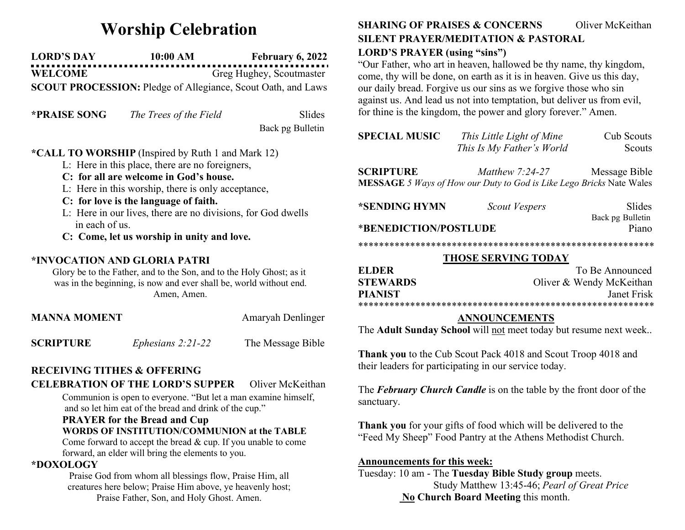# Worship Celebration

LORD'S DAY 10:00 AM February 6, 2022 WELCOME Greg Hughey, Scoutmaster

SCOUT PROCESSION: Pledge of Allegiance, Scout Oath, and Laws

| <b>*PRAISE SONG</b> | The Trees of the Field | Slides |
|---------------------|------------------------|--------|
|---------------------|------------------------|--------|

Back pg Bulletin

## \*CALL TO WORSHIP (Inspired by Ruth 1 and Mark 12)

- L: Here in this place, there are no foreigners,
- C: for all are welcome in God's house.
- L: Here in this worship, there is only acceptance,
- C: for love is the language of faith.
- L: Here in our lives, there are no divisions, for God dwells in each of us.
- C: Come, let us worship in unity and love.

#### \*INVOCATION AND GLORIA PATRI

Glory be to the Father, and to the Son, and to the Holy Ghost; as it was in the beginning, is now and ever shall be, world without end. Amen, Amen.

| <b>MANNA MOMENT</b> |                     | Amaryah Denlinger |
|---------------------|---------------------|-------------------|
| <b>SCRIPTURE</b>    | Ephesians $2:21-22$ | The Message Bible |

# RECEIVING TITHES & OFFERING

CELEBRATION OF THE LORD'S SUPPER Oliver McKeithan

Communion is open to everyone. "But let a man examine himself, and so let him eat of the bread and drink of the cup."

### PRAYER for the Bread and Cup WORDS OF INSTITUTION/COMMUNION at the TABLE

Come forward to accept the bread & cup. If you unable to come forward, an elder will bring the elements to you.

### \*DOXOLOGY

Praise God from whom all blessings flow, Praise Him, all creatures here below; Praise Him above, ye heavenly host; Praise Father, Son, and Holy Ghost. Amen.

# SHARING OF PRAISES & CONCERNS Oliver McKeithan SILENT PRAYER/MEDITATION & PASTORAL

## LORD'S PRAYER (using "sins")

"Our Father, who art in heaven, hallowed be thy name, thy kingdom, come, thy will be done, on earth as it is in heaven. Give us this day, our daily bread. Forgive us our sins as we forgive those who sin against us. And lead us not into temptation, but deliver us from evil, for thine is the kingdom, the power and glory forever." Amen.

| <b>SPECIAL MUSIC</b> | This Little Light of Mine | Cub Scouts    |
|----------------------|---------------------------|---------------|
|                      | This Is My Father's World | <b>Scouts</b> |
|                      |                           |               |

SCRIPTURE *Matthew 7:24-27* Message Bible MESSAGE 5 Ways of How our Duty to God is Like Lego Bricks Nate Wales

| *SENDING HYMN         | Scout Vespers | Slides           |
|-----------------------|---------------|------------------|
|                       |               | Back pg Bulletin |
| *BENEDICTION/POSTLUDE |               | Piano            |

# \*\*\*\*\*\*\*\*\*\*\*\*\*\*\*\*\*\*\*\*\*\*\*\*\*\*\*\*\*\*\*\*\*\*\*\*\*\*\*\*\*\*\*\*\*\*\*\*\*\*\*\*\*\*\*\*\*

#### THOSE SERVING TODAY

| ELDER.          | To Be Announced          |  |
|-----------------|--------------------------|--|
| <b>STEWARDS</b> | Oliver & Wendy McKeithan |  |
| <b>PIANIST</b>  | Janet Frisk              |  |
|                 |                          |  |

#### ANNOUNCEMENTS

The Adult Sunday School will not meet today but resume next week..

Thank you to the Cub Scout Pack 4018 and Scout Troop 4018 and their leaders for participating in our service today.

The **February Church Candle** is on the table by the front door of the sanctuary.

Thank you for your gifts of food which will be delivered to the "Feed My Sheep" Food Pantry at the Athens Methodist Church.

#### Announcements for this week:

Tuesday: 10 am - The Tuesday Bible Study group meets. Study Matthew 13:45-46; Pearl of Great Price No Church Board Meeting this month.